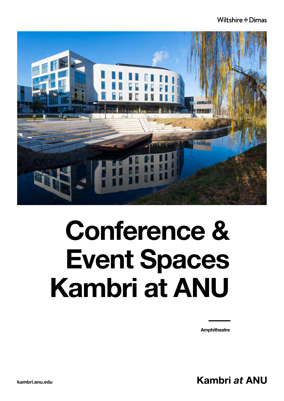### Wiltshire #Dimas



### Conference & Event Spaces Kambri at ANU

**Amphitheatre** 

Kambri at ANU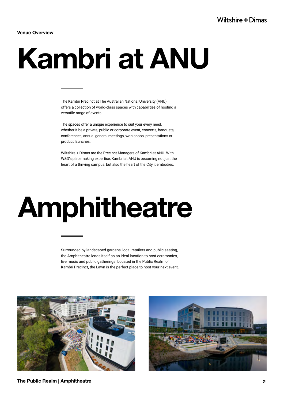Venue Overview

# Kambri at ANU

The Kambri Precinct at The Australian National University (ANU) offers a collection of world-class spaces with capabilities of hosting a versatile range of events.

The spaces offer a unique experience to suit your every need, whether it be a private, public or corporate event, concerts, banquets, conferences, annual general meetings, workshops, presentations or product launches.

Wiltshire + Dimas are the Precinct Managers of Kambri at ANU. With W&D's placemaking expertise, Kambri at ANU is becoming not just the heart of a thriving campus, but also the heart of the City it embodies.

### Amphitheatre

Surrounded by landscaped gardens, local retailers and public seating, the Amphitheatre lends itself as an ideal location to host ceremonies, live music and public gatherings. Located in the Public Realm of Kambri Precinct, the Lawn is the perfect place to host your next event.



The Public Realm | Amphitheatre **2**

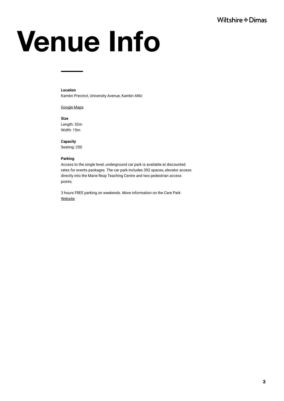# Venue Info

### **Location**

Kambri Precinct, University Avenue, Kambri ANU

[Google Maps](https://www.google.com.au/maps/place/Kambri/@-35.2771336,149.1185817,17z/data=!3m1!4b1!4m5!3m4!1s0x6b164db6fce3a57d:0x2ed87c98c5c97d86!8m2!3d-35.277138!4d149.1207757?hl=en-GB&authuser=0)

**Size** Length: 32m Width: 15m

**Capacity**

Seating: 250

### **Parking**

Access to the single level, underground car park is available at discounted rates for events packages. The car park includes 392 spaces, elevator access directly into the Marie Reay Teaching Centre and two pedestrian access points.

3 hours FREE parking on weekends. More information on the Care Park [Website.](https://www.carepark.com.au/find-a-care-park/australian-national-university-kambri/)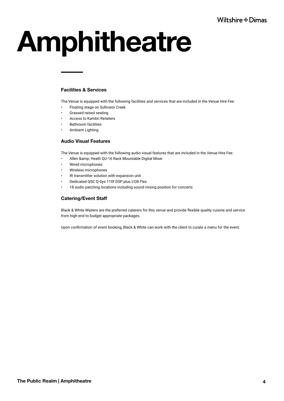# Amphitheatre

### Facilities & Services

The Venue is equipped with the following facilities and services that are included in the Venue Hire Fee:

- Floating stage on Sullivans Creek
- Grassed raised seating
- Access to Kambri Retailers
- Bathroom facilities
- Ambient Lighting

### Audio Visual Features

The Venue is equipped with the following audio visual features that are included in the Venue Hire Fee:

- Allen & amp; Heath QU-16 Rack Mountable Digital Mixer
- Wired microphones
- Wireless microphones
- IR transmitter solution with expansion unit
- Dedicated QSC Q-Sys 110f DSP plus I/O8 Flex
- 18 audio patching locations including sound mixing position for concerts

### Catering/Event Staff

Black & White Waiters are the preferred caterers for this venue and provide flexible quality cuisine and service from high end to budget appropriate packages.

Upon confirmation of event booking, Black & White can work with the client to curate a menu for the event.